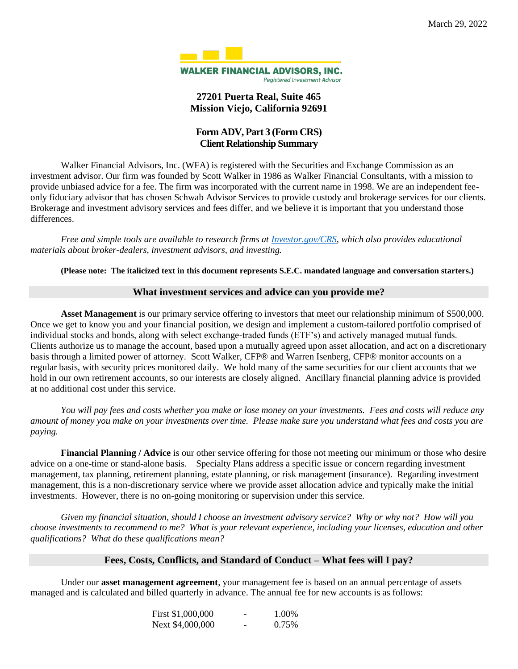

## **27201 Puerta Real, Suite 465 Mission Viejo, California 92691**

# **Form ADV, Part 3 (Form CRS) Client Relationship Summary**

Walker Financial Advisors, Inc. (WFA) is registered with the Securities and Exchange Commission as an investment advisor. Our firm was founded by Scott Walker in 1986 as Walker Financial Consultants, with a mission to provide unbiased advice for a fee. The firm was incorporated with the current name in 1998. We are an independent feeonly fiduciary advisor that has chosen Schwab Advisor Services to provide custody and brokerage services for our clients. Brokerage and investment advisory services and fees differ, and we believe it is important that you understand those differences.

*Free and simple tools are available to research firms at [Investor.gov/CRS,](http://www.investor.gov/CRS) which also provides educational materials about broker-dealers, investment advisors, and investing.*

**(Please note: The italicized text in this document represents S.E.C. mandated language and conversation starters.)** 

#### **What investment services and advice can you provide me?**

**Asset Management** is our primary service offering to investors that meet our relationship minimum of \$500,000. Once we get to know you and your financial position, we design and implement a custom-tailored portfolio comprised of individual stocks and bonds, along with select exchange-traded funds (ETF's) and actively managed mutual funds. Clients authorize us to manage the account, based upon a mutually agreed upon asset allocation, and act on a discretionary basis through a limited power of attorney. Scott Walker, CFP® and Warren Isenberg, CFP® monitor accounts on a regular basis, with security prices monitored daily. We hold many of the same securities for our client accounts that we hold in our own retirement accounts, so our interests are closely aligned. Ancillary financial planning advice is provided at no additional cost under this service.

*You will pay fees and costs whether you make or lose money on your investments. Fees and costs will reduce any amount of money you make on your investments over time. Please make sure you understand what fees and costs you are paying.*

**Financial Planning / Advice** is our other service offering for those not meeting our minimum or those who desire advice on a one-time or stand-alone basis. Specialty Plans address a specific issue or concern regarding investment management, tax planning, retirement planning, estate planning, or risk management (insurance). Regarding investment management, this is a non-discretionary service where we provide asset allocation advice and typically make the initial investments. However, there is no on-going monitoring or supervision under this service.

*Given my financial situation, should I choose an investment advisory service? Why or why not? How will you choose investments to recommend to me? What is your relevant experience, including your licenses, education and other qualifications? What do these qualifications mean?*

## **Fees, Costs, Conflicts, and Standard of Conduct – What fees will I pay?**

Under our **asset management agreement**, your management fee is based on an annual percentage of assets managed and is calculated and billed quarterly in advance. The annual fee for new accounts is as follows:

| First \$1,000,000 | - | 1.00% |
|-------------------|---|-------|
| Next \$4,000,000  | - | 0.75% |